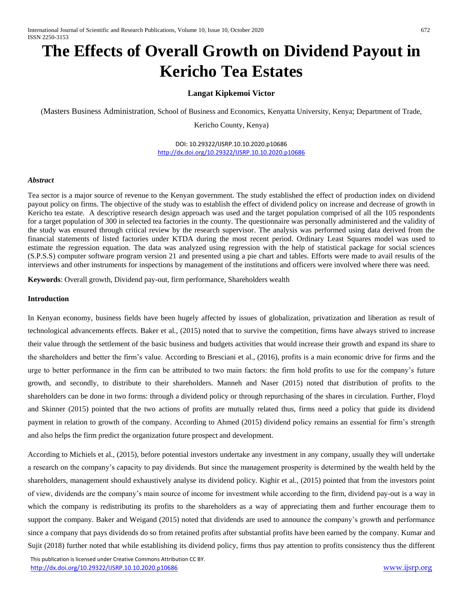# **The Effects of Overall Growth on Dividend Payout in Kericho Tea Estates**

# **Langat Kipkemoi Victor**

(Masters Business Administration, School of Business and Economics, Kenyatta University, Kenya; Department of Trade,

Kericho County, Kenya)

DOI: 10.29322/IJSRP.10.10.2020.p10686 <http://dx.doi.org/10.29322/IJSRP.10.10.2020.p10686>

#### *Abstract*

Tea sector is a major source of revenue to the Kenyan government. The study established the effect of production index on dividend payout policy on firms. The objective of the study was to establish the effect of dividend policy on increase and decrease of growth in Kericho tea estate. A descriptive research design approach was used and the target population comprised of all the 105 respondents for a target population of 300 in selected tea factories in the county. The questionnaire was personally administered and the validity of the study was ensured through critical review by the research supervisor. The analysis was performed using data derived from the financial statements of listed factories under KTDA during the most recent period. Ordinary Least Squares model was used to estimate the regression equation. The data was analyzed using regression with the help of statistical package for social sciences (S.P.S.S) computer software program version 21 and presented using a pie chart and tables. Efforts were made to avail results of the interviews and other instruments for inspections by management of the institutions and officers were involved where there was need.

**Keywords**: Overall growth, Dividend pay-out, firm performance, Shareholders wealth

#### **Introduction**

In Kenyan economy, business fields have been hugely affected by issues of globalization, privatization and liberation as result of technological advancements effects. Baker et al., (2015) noted that to survive the competition, firms have always strived to increase their value through the settlement of the basic business and budgets activities that would increase their growth and expand its share to the shareholders and better the firm's value. According to Bresciani et al., (2016), profits is a main economic drive for firms and the urge to better performance in the firm can be attributed to two main factors: the firm hold profits to use for the company's future growth, and secondly, to distribute to their shareholders. Manneh and Naser (2015) noted that distribution of profits to the shareholders can be done in two forms: through a dividend policy or through repurchasing of the shares in circulation. Further, Floyd and Skinner (2015) pointed that the two actions of profits are mutually related thus, firms need a policy that guide its dividend payment in relation to growth of the company. According to Ahmed (2015) dividend policy remains an essential for firm's strength and also helps the firm predict the organization future prospect and development.

According to Michiels et al., (2015), before potential investors undertake any investment in any company, usually they will undertake a research on the company's capacity to pay dividends. But since the management prosperity is determined by the wealth held by the shareholders, management should exhaustively analyse its dividend policy. Kighir et al., (2015) pointed that from the investors point of view, dividends are the company's main source of income for investment while according to the firm, dividend pay-out is a way in which the company is redistributing its profits to the shareholders as a way of appreciating them and further encourage them to support the company. Baker and Weigand (2015) noted that dividends are used to announce the company's growth and performance since a company that pays dividends do so from retained profits after substantial profits have been earned by the company. Kumar and Sujit (2018) further noted that while establishing its dividend policy, firms thus pay attention to profits consistency thus the different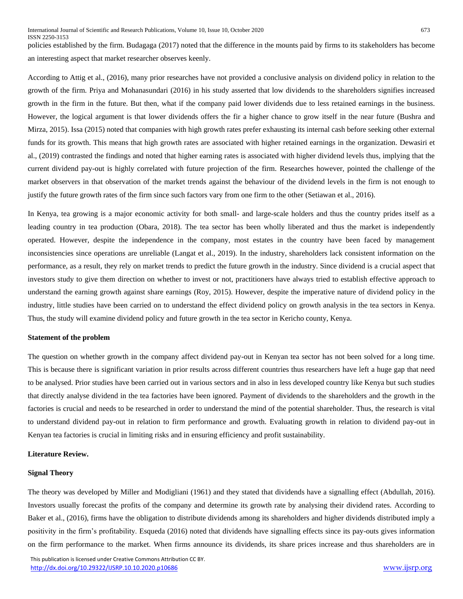policies established by the firm. Budagaga (2017) noted that the difference in the mounts paid by firms to its stakeholders has become an interesting aspect that market researcher observes keenly.

According to Attig et al., (2016), many prior researches have not provided a conclusive analysis on dividend policy in relation to the growth of the firm. Priya and Mohanasundari (2016) in his study asserted that low dividends to the shareholders signifies increased growth in the firm in the future. But then, what if the company paid lower dividends due to less retained earnings in the business. However, the logical argument is that lower dividends offers the fir a higher chance to grow itself in the near future (Bushra and Mirza, 2015). Issa (2015) noted that companies with high growth rates prefer exhausting its internal cash before seeking other external funds for its growth. This means that high growth rates are associated with higher retained earnings in the organization. Dewasiri et al., (2019) contrasted the findings and noted that higher earning rates is associated with higher dividend levels thus, implying that the current dividend pay-out is highly correlated with future projection of the firm. Researches however, pointed the challenge of the market observers in that observation of the market trends against the behaviour of the dividend levels in the firm is not enough to justify the future growth rates of the firm since such factors vary from one firm to the other (Setiawan et al., 2016).

In Kenya, tea growing is a major economic activity for both small- and large-scale holders and thus the country prides itself as a leading country in tea production (Obara, 2018). The tea sector has been wholly liberated and thus the market is independently operated. However, despite the independence in the company, most estates in the country have been faced by management inconsistencies since operations are unreliable (Langat et al., 2019). In the industry, shareholders lack consistent information on the performance, as a result, they rely on market trends to predict the future growth in the industry. Since dividend is a crucial aspect that investors study to give them direction on whether to invest or not, practitioners have always tried to establish effective approach to understand the earning growth against share earnings (Roy, 2015). However, despite the imperative nature of dividend policy in the industry, little studies have been carried on to understand the effect dividend policy on growth analysis in the tea sectors in Kenya. Thus, the study will examine dividend policy and future growth in the tea sector in Kericho county, Kenya.

#### **Statement of the problem**

The question on whether growth in the company affect dividend pay-out in Kenyan tea sector has not been solved for a long time. This is because there is significant variation in prior results across different countries thus researchers have left a huge gap that need to be analysed. Prior studies have been carried out in various sectors and in also in less developed country like Kenya but such studies that directly analyse dividend in the tea factories have been ignored. Payment of dividends to the shareholders and the growth in the factories is crucial and needs to be researched in order to understand the mind of the potential shareholder. Thus, the research is vital to understand dividend pay-out in relation to firm performance and growth. Evaluating growth in relation to dividend pay-out in Kenyan tea factories is crucial in limiting risks and in ensuring efficiency and profit sustainability.

#### **Literature Review.**

#### **Signal Theory**

The theory was developed by Miller and Modigliani (1961) and they stated that dividends have a signalling effect (Abdullah, 2016). Investors usually forecast the profits of the company and determine its growth rate by analysing their dividend rates. According to Baker et al., (2016), firms have the obligation to distribute dividends among its shareholders and higher dividends distributed imply a positivity in the firm's profitability. Esqueda (2016) noted that dividends have signalling effects since its pay-outs gives information on the firm performance to the market. When firms announce its dividends, its share prices increase and thus shareholders are in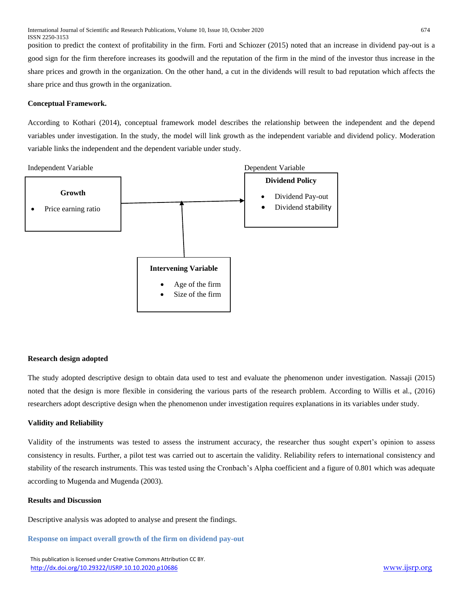position to predict the context of profitability in the firm. Forti and Schiozer (2015) noted that an increase in dividend pay-out is a good sign for the firm therefore increases its goodwill and the reputation of the firm in the mind of the investor thus increase in the share prices and growth in the organization. On the other hand, a cut in the dividends will result to bad reputation which affects the share price and thus growth in the organization.

#### **Conceptual Framework.**

According to Kothari (2014), conceptual framework model describes the relationship between the independent and the depend variables under investigation. In the study, the model will link growth as the independent variable and dividend policy. Moderation variable links the independent and the dependent variable under study.



#### **Research design adopted**

The study adopted descriptive design to obtain data used to test and evaluate the phenomenon under investigation. Nassaji (2015) noted that the design is more flexible in considering the various parts of the research problem. According to Willis et al., (2016) researchers adopt descriptive design when the phenomenon under investigation requires explanations in its variables under study.

#### **Validity and Reliability**

Validity of the instruments was tested to assess the instrument accuracy, the researcher thus sought expert's opinion to assess consistency in results. Further, a pilot test was carried out to ascertain the validity. Reliability refers to international consistency and stability of the research instruments. This was tested using the Cronbach's Alpha coefficient and a figure of 0.801 which was adequate according to Mugenda and Mugenda (2003).

#### **Results and Discussion**

Descriptive analysis was adopted to analyse and present the findings.

**Response on impact overall growth of the firm on dividend pay-out**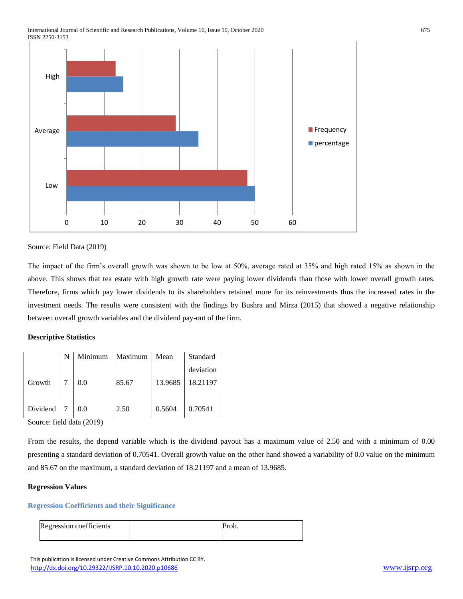

#### Source: Field Data (2019)

The impact of the firm's overall growth was shown to be low at 50%, average rated at 35% and high rated 15% as shown in the above. This shows that tea estate with high growth rate were paying lower dividends than those with lower overall growth rates. Therefore, firms which pay lower dividends to its shareholders retained more for its reinvestments thus the increased rates in the investment needs. The results were consistent with the findings by Bushra and Mirza (2015) that showed a negative relationship between overall growth variables and the dividend pay-out of the firm.

### **Descriptive Statistics**

|          | N | Minimum | Maximum | Mean    | Standard  |
|----------|---|---------|---------|---------|-----------|
|          |   |         |         |         | deviation |
| Growth   |   | 0.0     | 85.67   | 13.9685 | 18.21197  |
|          |   |         |         |         |           |
| Dividend |   | 0.0     | 2.50    | 0.5604  | 0.70541   |

Source: field data (2019)

From the results, the depend variable which is the dividend payout has a maximum value of 2.50 and with a minimum of 0.00 presenting a standard deviation of 0.70541. Overall growth value on the other hand showed a variability of 0.0 value on the minimum and 85.67 on the maximum, a standard deviation of 18.21197 and a mean of 13.9685.

#### **Regression Values**

#### **Regression Coefficients and their Significance**

| Regression coefficients |  |
|-------------------------|--|
|                         |  |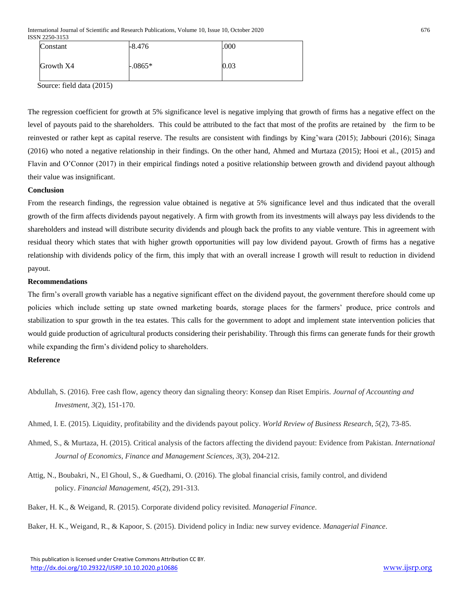International Journal of Scientific and Research Publications, Volume 10, Issue 10, October 2020 676 ISSN 2250-3153

| Constant  | $-8.476$  | .000 |
|-----------|-----------|------|
| Growth X4 | $-.0865*$ | 0.03 |

Source: field data (2015)

The regression coefficient for growth at 5% significance level is negative implying that growth of firms has a negative effect on the level of payouts paid to the shareholders. This could be attributed to the fact that most of the profits are retained by the firm to be reinvested or rather kept as capital reserve. The results are consistent with findings by King'wara (2015); Jabbouri (2016); Sinaga (2016) who noted a negative relationship in their findings. On the other hand, Ahmed and Murtaza (2015); Hooi et al., (2015) and Flavin and O'Connor (2017) in their empirical findings noted a positive relationship between growth and dividend payout although their value was insignificant.

#### **Conclusion**

From the research findings, the regression value obtained is negative at 5% significance level and thus indicated that the overall growth of the firm affects dividends payout negatively. A firm with growth from its investments will always pay less dividends to the shareholders and instead will distribute security dividends and plough back the profits to any viable venture. This in agreement with residual theory which states that with higher growth opportunities will pay low dividend payout. Growth of firms has a negative relationship with dividends policy of the firm, this imply that with an overall increase I growth will result to reduction in dividend payout.

#### **Recommendations**

The firm's overall growth variable has a negative significant effect on the dividend payout, the government therefore should come up policies which include setting up state owned marketing boards, storage places for the farmers' produce, price controls and stabilization to spur growth in the tea estates. This calls for the government to adopt and implement state intervention policies that would guide production of agricultural products considering their perishability. Through this firms can generate funds for their growth while expanding the firm's dividend policy to shareholders.

## **Reference**

- Abdullah, S. (2016). Free cash flow, agency theory dan signaling theory: Konsep dan Riset Empiris. *Journal of Accounting and Investment*, *3*(2), 151-170.
- Ahmed, I. E. (2015). Liquidity, profitability and the dividends payout policy. *World Review of Business Research*, *5*(2), 73-85.
- Ahmed, S., & Murtaza, H. (2015). Critical analysis of the factors affecting the dividend payout: Evidence from Pakistan. *International Journal of Economics, Finance and Management Sciences*, *3*(3), 204-212.
- Attig, N., Boubakri, N., El Ghoul, S., & Guedhami, O. (2016). The global financial crisis, family control, and dividend policy. *Financial Management*, *45*(2), 291-313.
- Baker, H. K., & Weigand, R. (2015). Corporate dividend policy revisited. *Managerial Finance*.

Baker, H. K., Weigand, R., & Kapoor, S. (2015). Dividend policy in India: new survey evidence. *Managerial Finance*.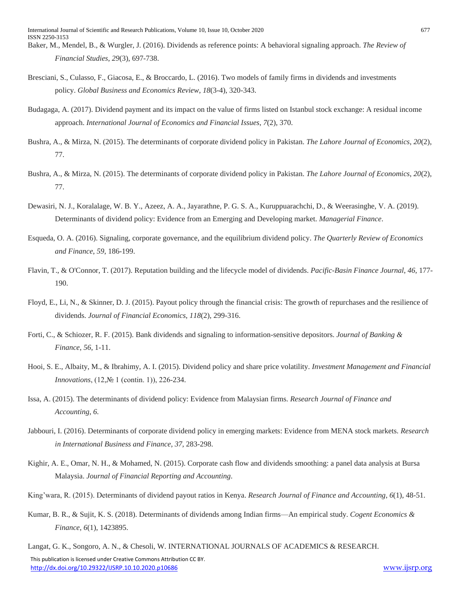- Baker, M., Mendel, B., & Wurgler, J. (2016). Dividends as reference points: A behavioral signaling approach. *The Review of Financial Studies*, *29*(3), 697-738.
- Bresciani, S., Culasso, F., Giacosa, E., & Broccardo, L. (2016). Two models of family firms in dividends and investments policy. *Global Business and Economics Review*, *18*(3-4), 320-343.
- Budagaga, A. (2017). Dividend payment and its impact on the value of firms listed on Istanbul stock exchange: A residual income approach. *International Journal of Economics and Financial Issues*, *7*(2), 370.
- Bushra, A., & Mirza, N. (2015). The determinants of corporate dividend policy in Pakistan. *The Lahore Journal of Economics*, *20*(2), 77.
- Bushra, A., & Mirza, N. (2015). The determinants of corporate dividend policy in Pakistan. *The Lahore Journal of Economics*, *20*(2), 77.
- Dewasiri, N. J., Koralalage, W. B. Y., Azeez, A. A., Jayarathne, P. G. S. A., Kuruppuarachchi, D., & Weerasinghe, V. A. (2019). Determinants of dividend policy: Evidence from an Emerging and Developing market. *Managerial Finance*.
- Esqueda, O. A. (2016). Signaling, corporate governance, and the equilibrium dividend policy. *The Quarterly Review of Economics and Finance*, *59*, 186-199.
- Flavin, T., & O'Connor, T. (2017). Reputation building and the lifecycle model of dividends. *Pacific-Basin Finance Journal*, *46*, 177- 190.
- Floyd, E., Li, N., & Skinner, D. J. (2015). Payout policy through the financial crisis: The growth of repurchases and the resilience of dividends. *Journal of Financial Economics*, *118*(2), 299-316.
- Forti, C., & Schiozer, R. F. (2015). Bank dividends and signaling to information-sensitive depositors. *Journal of Banking & Finance*, *56*, 1-11.
- Hooi, S. E., Albaity, M., & Ibrahimy, A. I. (2015). Dividend policy and share price volatility. *Investment Management and Financial Innovations*, (12,№ 1 (contin. 1)), 226-234.
- Issa, A. (2015). The determinants of dividend policy: Evidence from Malaysian firms. *Research Journal of Finance and Accounting*, *6*.
- Jabbouri, I. (2016). Determinants of corporate dividend policy in emerging markets: Evidence from MENA stock markets. *Research in International Business and Finance*, *37*, 283-298.
- Kighir, A. E., Omar, N. H., & Mohamed, N. (2015). Corporate cash flow and dividends smoothing: a panel data analysis at Bursa Malaysia. *Journal of Financial Reporting and Accounting*.
- King'wara, R. (2015). Determinants of dividend payout ratios in Kenya. *Research Journal of Finance and Accounting*, *6*(1), 48-51.
- Kumar, B. R., & Sujit, K. S. (2018). Determinants of dividends among Indian firms—An empirical study. *Cogent Economics & Finance*, *6*(1), 1423895.

 This publication is licensed under Creative Commons Attribution CC BY. <http://dx.doi.org/10.29322/IJSRP.10.10.2020.p10686> [www.ijsrp.org](http://ijsrp.org/) Langat, G. K., Songoro, A. N., & Chesoli, W. INTERNATIONAL JOURNALS OF ACADEMICS & RESEARCH.